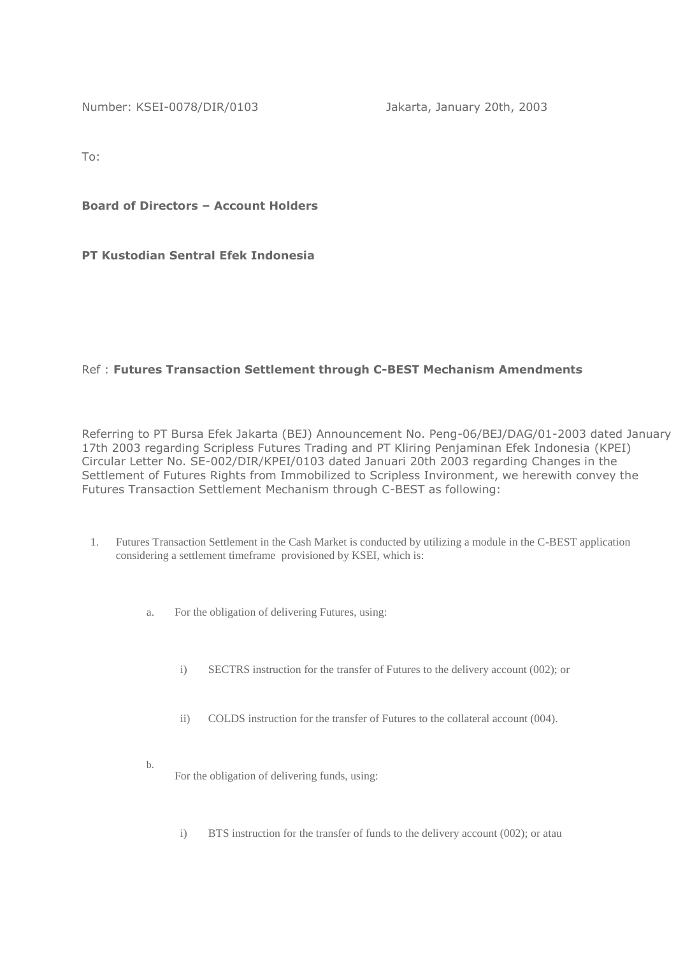Number: KSEI-0078/DIR/0103 Jakarta, January 20th, 2003

To:

**Board of Directors – Account Holders**

**PT Kustodian Sentral Efek Indonesia**

## Ref : **Futures Transaction Settlement through C-BEST Mechanism Amendments**

Referring to PT Bursa Efek Jakarta (BEJ) Announcement No. Peng-06/BEJ/DAG/01-2003 dated January 17th 2003 regarding Scripless Futures Trading and PT Kliring Penjaminan Efek Indonesia (KPEI) Circular Letter No. SE-002/DIR/KPEI/0103 dated Januari 20th 2003 regarding Changes in the Settlement of Futures Rights from Immobilized to Scripless Invironment, we herewith convey the Futures Transaction Settlement Mechanism through C-BEST as following:

- 1. Futures Transaction Settlement in the Cash Market is conducted by utilizing a module in the C-BEST application considering a settlement timeframe provisioned by KSEI, which is:
	- a. For the obligation of delivering Futures, using:
		- i) SECTRS instruction for the transfer of Futures to the delivery account (002); or
		- ii) COLDS instruction for the transfer of Futures to the collateral account (004).
		- For the obligation of delivering funds, using:

b.

i) BTS instruction for the transfer of funds to the delivery account (002); or atau